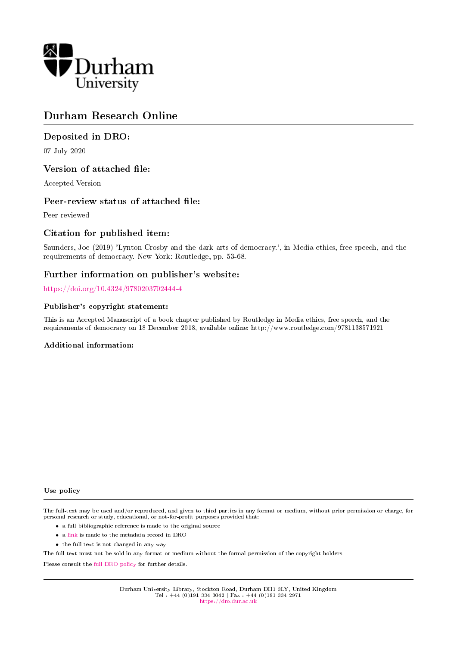

## Durham Research Online

#### Deposited in DRO:

07 July 2020

#### Version of attached file:

Accepted Version

#### Peer-review status of attached file:

Peer-reviewed

#### Citation for published item:

Saunders, Joe (2019) 'Lynton Crosby and the dark arts of democracy.', in Media ethics, free speech, and the requirements of democracy. New York: Routledge, pp. 53-68.

#### Further information on publisher's website:

<https://doi.org/10.4324/9780203702444-4>

#### Publisher's copyright statement:

This is an Accepted Manuscript of a book chapter published by Routledge in Media ethics, free speech, and the requirements of democracy on 18 December 2018, available online: http://www.routledge.com/9781138571921

#### Additional information:

#### Use policy

The full-text may be used and/or reproduced, and given to third parties in any format or medium, without prior permission or charge, for personal research or study, educational, or not-for-profit purposes provided that:

- a full bibliographic reference is made to the original source
- a [link](http://dro.dur.ac.uk/31218/) is made to the metadata record in DRO
- the full-text is not changed in any way

The full-text must not be sold in any format or medium without the formal permission of the copyright holders.

Please consult the [full DRO policy](https://dro.dur.ac.uk/policies/usepolicy.pdf) for further details.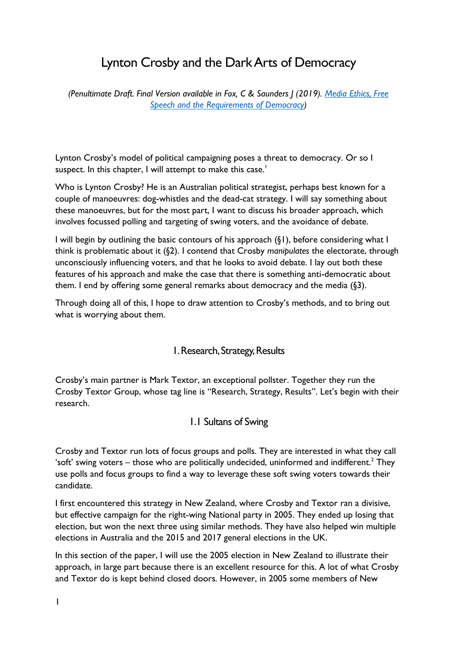# Lynton Crosby and the Dark Arts of Democracy

*(Penultimate Draft. Final Version available in Fox, C & Saunders J (2019). [Media Ethics, Free](https://www.routledge.com/Media-Ethics-Free-Speech-and-the-Requirements-of-Democracy/Fox-Saunders/p/book/9781138571921)  [Speech and the Requirements of Democracy\)](https://www.routledge.com/Media-Ethics-Free-Speech-and-the-Requirements-of-Democracy/Fox-Saunders/p/book/9781138571921)*

Lynton Crosby's model of political campaigning poses a threat to democracy. Or so I suspect. In this chapter, I will attempt to make this case.<sup>1</sup>

Who is Lynton Crosby? He is an Australian political strategist, perhaps best known for a couple of manoeuvres: dog-whistles and the dead-cat strategy. I will say something about these manoeuvres, but for the most part, I want to discuss his broader approach, which involves focussed polling and targeting of swing voters, and the avoidance of debate.

I will begin by outlining the basic contours of his approach (§1), before considering what I think is problematic about it (§2). I contend that Crosby *manipulates* the electorate, through unconsciously influencing voters, and that he looks to avoid debate. I lay out both these features of his approach and make the case that there is something anti-democratic about them. I end by offering some general remarks about democracy and the media (§3).

Through doing all of this, I hope to draw attention to Crosby's methods, and to bring out what is worrying about them.

## 1. Research, Strategy, Results

Crosby's main partner is Mark Textor, an exceptional pollster. Together they run the Crosby Textor Group, whose tag line is "Research, Strategy, Results". Let's begin with their research.

#### 1.1 Sultans of Swing

Crosby and Textor run lots of focus groups and polls. They are interested in what they call 'soft' swing voters – those who are politically undecided, uninformed and indifferent.<sup>2</sup> They use polls and focus groups to find a way to leverage these soft swing voters towards their candidate.

I first encountered this strategy in New Zealand, where Crosby and Textor ran a divisive, but effective campaign for the right-wing National party in 2005. They ended up losing that election, but won the next three using similar methods. They have also helped win multiple elections in Australia and the 2015 and 2017 general elections in the UK.

In this section of the paper, I will use the 2005 election in New Zealand to illustrate their approach, in large part because there is an excellent resource for this. A lot of what Crosby and Textor do is kept behind closed doors. However, in 2005 some members of New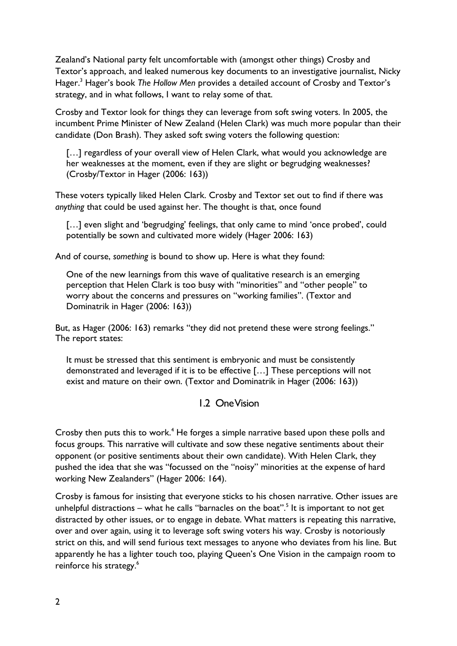Zealand's National party felt uncomfortable with (amongst other things) Crosby and Textor's approach, and leaked numerous key documents to an investigative journalist, Nicky Hager.<sup>3</sup> Hager's book *The Hollow Men* provides a detailed account of Crosby and Textor's strategy, and in what follows, I want to relay some of that.

Crosby and Textor look for things they can leverage from soft swing voters. In 2005, the incumbent Prime Minister of New Zealand (Helen Clark) was much more popular than their candidate (Don Brash). They asked soft swing voters the following question:

[...] regardless of your overall view of Helen Clark, what would you acknowledge are her weaknesses at the moment, even if they are slight or begrudging weaknesses? (Crosby/Textor in Hager (2006: 163))

These voters typically liked Helen Clark. Crosby and Textor set out to find if there was *anything* that could be used against her. The thought is that, once found

[...] even slight and 'begrudging' feelings, that only came to mind 'once probed', could potentially be sown and cultivated more widely (Hager 2006: 163)

And of course, *something* is bound to show up. Here is what they found:

One of the new learnings from this wave of qualitative research is an emerging perception that Helen Clark is too busy with "minorities" and "other people" to worry about the concerns and pressures on "working families". (Textor and Dominatrik in Hager (2006: 163))

But, as Hager (2006: 163) remarks "they did not pretend these were strong feelings." The report states:

It must be stressed that this sentiment is embryonic and must be consistently demonstrated and leveraged if it is to be effective […] These perceptions will not exist and mature on their own. (Textor and Dominatrik in Hager (2006: 163))

## 1.2 One Vision

Crosby then puts this to work.<sup>4</sup> He forges a simple narrative based upon these polls and focus groups. This narrative will cultivate and sow these negative sentiments about their opponent (or positive sentiments about their own candidate). With Helen Clark, they pushed the idea that she was "focussed on the "noisy" minorities at the expense of hard working New Zealanders" (Hager 2006: 164).

Crosby is famous for insisting that everyone sticks to his chosen narrative. Other issues are unhelpful distractions – what he calls "barnacles on the boat".<sup>5</sup> It is important to not get distracted by other issues, or to engage in debate. What matters is repeating this narrative, over and over again, using it to leverage soft swing voters his way. Crosby is notoriously strict on this, and will send furious text messages to anyone who deviates from his line. But apparently he has a lighter touch too, playing Queen's One Vision in the campaign room to reinforce his strategy.<sup>6</sup>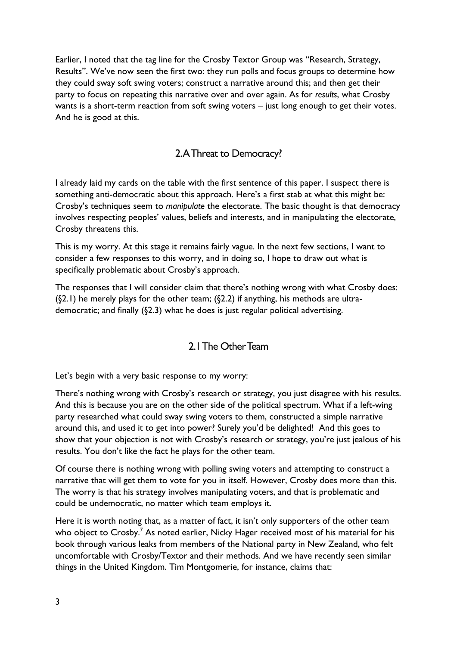Earlier, I noted that the tag line for the Crosby Textor Group was "Research, Strategy, Results". We've now seen the first two: they run polls and focus groups to determine how they could sway soft swing voters; construct a narrative around this; and then get their party to focus on repeating this narrative over and over again. As for *results*, what Crosby wants is a short-term reaction from soft swing voters – just long enough to get their votes. And he is good at this.

## 2. A Threat to Democracy?

I already laid my cards on the table with the first sentence of this paper. I suspect there is something anti-democratic about this approach. Here's a first stab at what this might be: Crosby's techniques seem to *manipulate* the electorate. The basic thought is that democracy involves respecting peoples' values, beliefs and interests, and in manipulating the electorate, Crosby threatens this.

This is my worry. At this stage it remains fairly vague. In the next few sections, I want to consider a few responses to this worry, and in doing so, I hope to draw out what is specifically problematic about Crosby's approach.

The responses that I will consider claim that there's nothing wrong with what Crosby does:  $(S2.1)$  he merely plays for the other team;  $(S2.2)$  if anything, his methods are ultrademocratic; and finally (§2.3) what he does is just regular political advertising.

## 2.1 The Other Team

Let's begin with a very basic response to my worry:

There's nothing wrong with Crosby's research or strategy, you just disagree with his results. And this is because you are on the other side of the political spectrum. What if a left-wing party researched what could sway swing voters to them, constructed a simple narrative around this, and used it to get into power? Surely you'd be delighted! And this goes to show that your objection is not with Crosby's research or strategy, you're just jealous of his results. You don't like the fact he plays for the other team.

Of course there is nothing wrong with polling swing voters and attempting to construct a narrative that will get them to vote for you in itself. However, Crosby does more than this. The worry is that his strategy involves manipulating voters, and that is problematic and could be undemocratic, no matter which team employs it.

Here it is worth noting that, as a matter of fact, it isn't only supporters of the other team who object to Crosby.<sup>7</sup> As noted earlier, Nicky Hager received most of his material for his book through various leaks from members of the National party in New Zealand, who felt uncomfortable with Crosby/Textor and their methods. And we have recently seen similar things in the United Kingdom. Tim Montgomerie, for instance, claims that: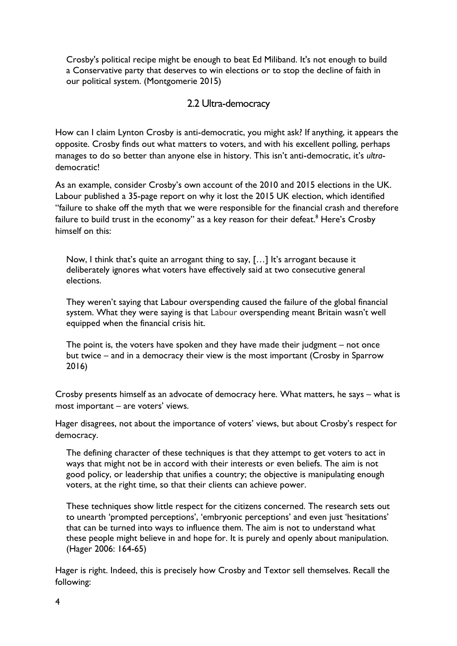Crosby's political recipe might be enough to beat Ed Miliband. It's not enough to build a Conservative party that deserves to win elections or to stop the decline of faith in our political system. (Montgomerie 2015)

### 2.2 Ultra-democracy

How can I claim Lynton Crosby is anti-democratic, you might ask? If anything, it appears the opposite. Crosby finds out what matters to voters, and with his excellent polling, perhaps manages to do so better than anyone else in history. This isn't anti-democratic, it's *ultra*democratic!

As an example, consider Crosby's own account of the 2010 and 2015 elections in the UK. Labour published a 35-page report on why it lost the 2015 UK election, which identified "failure to shake off the myth that we were responsible for the financial crash and therefore failure to build trust in the economy" as a key reason for their defeat. $8$  Here's Crosby himself on this:

Now, I think that's quite an arrogant thing to say, […] It's arrogant because it deliberately ignores what voters have effectively said at two consecutive general elections.

They weren't saying that Labour overspending caused the failure of the global financial system. What they were saying is that Labour overspending meant Britain wasn't well equipped when the financial crisis hit.

The point is, the voters have spoken and they have made their judgment – not once but twice – and in a democracy their view is the most important (Crosby in Sparrow 2016)

Crosby presents himself as an advocate of democracy here. What matters, he says – what is most important – are voters' views.

Hager disagrees, not about the importance of voters' views, but about Crosby's respect for democracy.

The defining character of these techniques is that they attempt to get voters to act in ways that might not be in accord with their interests or even beliefs. The aim is not good policy, or leadership that unifies a country; the objective is manipulating enough voters, at the right time, so that their clients can achieve power.

These techniques show little respect for the citizens concerned. The research sets out to unearth 'prompted perceptions', 'embryonic perceptions' and even just 'hesitations' that can be turned into ways to influence them. The aim is not to understand what these people might believe in and hope for. It is purely and openly about manipulation. (Hager 2006: 164-65)

Hager is right. Indeed, this is precisely how Crosby and Textor sell themselves. Recall the following: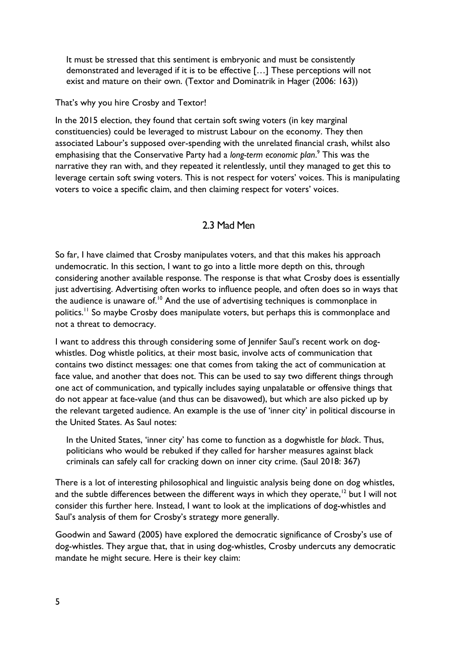It must be stressed that this sentiment is embryonic and must be consistently demonstrated and leveraged if it is to be effective […] These perceptions will not exist and mature on their own. (Textor and Dominatrik in Hager (2006: 163))

#### That's why you hire Crosby and Textor!

In the 2015 election, they found that certain soft swing voters (in key marginal constituencies) could be leveraged to mistrust Labour on the economy. They then associated Labour's supposed over-spending with the unrelated financial crash, whilst also emphasising that the Conservative Party had a *long-term economic plan*. <sup>9</sup> This was the narrative they ran with, and they repeated it relentlessly, until they managed to get this to leverage certain soft swing voters. This is not respect for voters' voices. This is manipulating voters to voice a specific claim, and then claiming respect for voters' voices.

### 2.3 Mad Men

So far, I have claimed that Crosby manipulates voters, and that this makes his approach undemocratic. In this section, I want to go into a little more depth on this, through considering another available response. The response is that what Crosby does is essentially just advertising. Advertising often works to influence people, and often does so in ways that the audience is unaware of.<sup>10</sup> And the use of advertising techniques is commonplace in politics.<sup>11</sup> So maybe Crosby does manipulate voters, but perhaps this is commonplace and not a threat to democracy.

I want to address this through considering some of Jennifer Saul's recent work on dogwhistles. Dog whistle politics, at their most basic, involve acts of communication that contains two distinct messages: one that comes from taking the act of communication at face value, and another that does not. This can be used to say two different things through one act of communication, and typically includes saying unpalatable or offensive things that do not appear at face-value (and thus can be disavowed), but which are also picked up by the relevant targeted audience. An example is the use of 'inner city' in political discourse in the United States. As Saul notes:

In the United States, 'inner city' has come to function as a dogwhistle for *black*. Thus, politicians who would be rebuked if they called for harsher measures against black criminals can safely call for cracking down on inner city crime. (Saul 2018: 367)

There is a lot of interesting philosophical and linguistic analysis being done on dog whistles, and the subtle differences between the different ways in which they operate, $^{12}$  but I will not consider this further here. Instead, I want to look at the implications of dog-whistles and Saul's analysis of them for Crosby's strategy more generally.

Goodwin and Saward (2005) have explored the democratic significance of Crosby's use of dog-whistles. They argue that, that in using dog-whistles, Crosby undercuts any democratic mandate he might secure. Here is their key claim: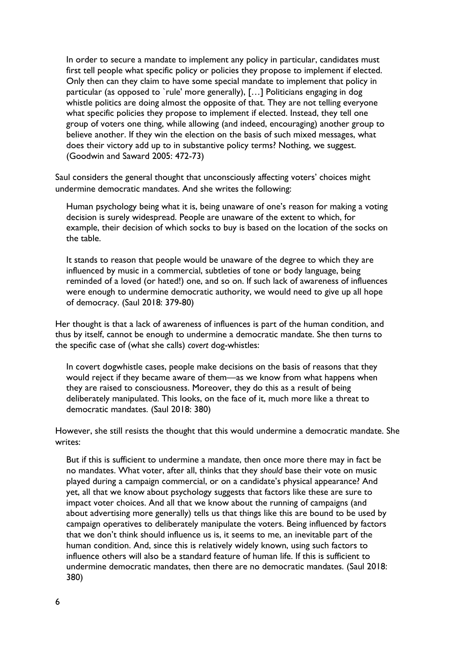In order to secure a mandate to implement any policy in particular, candidates must first tell people what specific policy or policies they propose to implement if elected. Only then can they claim to have some special mandate to implement that policy in particular (as opposed to `rule' more generally), […] Politicians engaging in dog whistle politics are doing almost the opposite of that. They are not telling everyone what specific policies they propose to implement if elected. Instead, they tell one group of voters one thing, while allowing (and indeed, encouraging) another group to believe another. If they win the election on the basis of such mixed messages, what does their victory add up to in substantive policy terms? Nothing, we suggest. (Goodwin and Saward 2005: 472-73)

Saul considers the general thought that unconsciously affecting voters' choices might undermine democratic mandates. And she writes the following:

Human psychology being what it is, being unaware of one's reason for making a voting decision is surely widespread. People are unaware of the extent to which, for example, their decision of which socks to buy is based on the location of the socks on the table.

It stands to reason that people would be unaware of the degree to which they are influenced by music in a commercial, subtleties of tone or body language, being reminded of a loved (or hated!) one, and so on. If such lack of awareness of influences were enough to undermine democratic authority, we would need to give up all hope of democracy. (Saul 2018: 379-80)

Her thought is that a lack of awareness of influences is part of the human condition, and thus by itself, cannot be enough to undermine a democratic mandate. She then turns to the specific case of (what she calls) *covert* dog-whistles:

In covert dogwhistle cases, people make decisions on the basis of reasons that they would reject if they became aware of them—as we know from what happens when they are raised to consciousness. Moreover, they do this as a result of being deliberately manipulated. This looks, on the face of it, much more like a threat to democratic mandates. (Saul 2018: 380)

However, she still resists the thought that this would undermine a democratic mandate. She writes:

But if this is sufficient to undermine a mandate, then once more there may in fact be no mandates. What voter, after all, thinks that they *should* base their vote on music played during a campaign commercial, or on a candidate's physical appearance? And yet, all that we know about psychology suggests that factors like these are sure to impact voter choices. And all that we know about the running of campaigns (and about advertising more generally) tells us that things like this are bound to be used by campaign operatives to deliberately manipulate the voters. Being influenced by factors that we don't think should influence us is, it seems to me, an inevitable part of the human condition. And, since this is relatively widely known, using such factors to influence others will also be a standard feature of human life. If this is sufficient to undermine democratic mandates, then there are no democratic mandates. (Saul 2018: 380)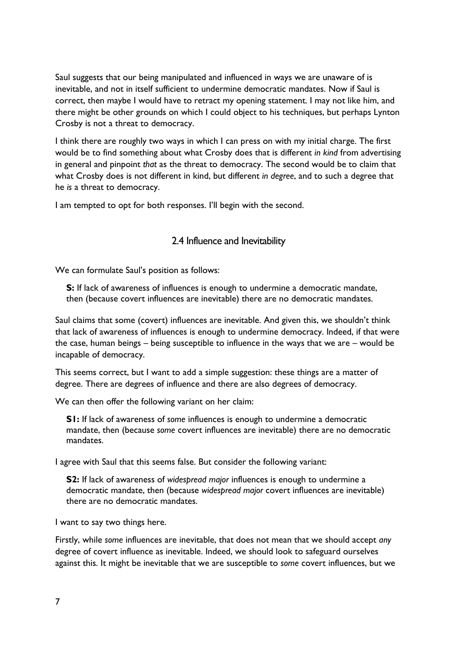Saul suggests that our being manipulated and influenced in ways we are unaware of is inevitable, and not in itself sufficient to undermine democratic mandates. Now if Saul is correct, then maybe I would have to retract my opening statement. I may not like him, and there might be other grounds on which I could object to his techniques, but perhaps Lynton Crosby is not a threat to democracy.

I think there are roughly two ways in which I can press on with my initial charge. The first would be to find something about what Crosby does that is different *in kind* from advertising in general and pinpoint *that* as the threat to democracy. The second would be to claim that what Crosby does is not different in kind, but different *in degree*, and to such a degree that he *is* a threat to democracy.

I am tempted to opt for both responses. I'll begin with the second.

#### 2.4 Influence and Inevitability

We can formulate Saul's position as follows:

**S:** If lack of awareness of influences is enough to undermine a democratic mandate, then (because covert influences are inevitable) there are no democratic mandates.

Saul claims that some (covert) influences are inevitable. And given this, we shouldn't think that lack of awareness of influences is enough to undermine democracy. Indeed, if that were the case, human beings – being susceptible to influence in the ways that we are – would be incapable of democracy.

This seems correct, but I want to add a simple suggestion: these things are a matter of degree. There are degrees of influence and there are also degrees of democracy.

We can then offer the following variant on her claim:

**S1:** If lack of awareness of *some* influences is enough to undermine a democratic mandate, then (because *some* covert influences are inevitable) there are no democratic mandates.

I agree with Saul that this seems false. But consider the following variant:

**S2:** If lack of awareness of *widespread major* influences is enough to undermine a democratic mandate, then (because *widespread major* covert influences are inevitable) there are no democratic mandates.

I want to say two things here.

Firstly, while *some* influences are inevitable, that does not mean that we should accept *any* degree of covert influence as inevitable. Indeed, we should look to safeguard ourselves against this. It might be inevitable that we are susceptible to *some* covert influences, but we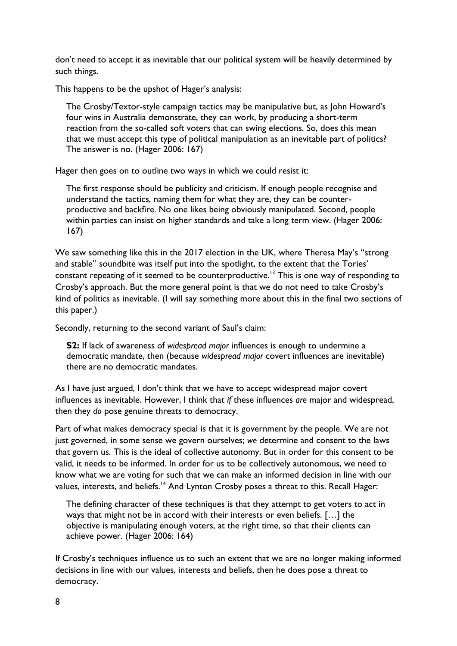don't need to accept it as inevitable that our political system will be heavily determined by such things.

This happens to be the upshot of Hager's analysis:

The Crosby/Textor-style campaign tactics may be manipulative but, as John Howard's four wins in Australia demonstrate, they can work, by producing a short-term reaction from the so-called soft voters that can swing elections. So, does this mean that we must accept this type of political manipulation as an inevitable part of politics? The answer is no. (Hager 2006: 167)

Hager then goes on to outline two ways in which we could resist it:

The first response should be publicity and criticism. If enough people recognise and understand the tactics, naming them for what they are, they can be counterproductive and backfire. No one likes being obviously manipulated. Second, people within parties can insist on higher standards and take a long term view. (Hager 2006: 167)

We saw something like this in the 2017 election in the UK, where Theresa May's "strong and stable" soundbite was itself put into the spotlight, to the extent that the Tories' constant repeating of it seemed to be counterproductive. <sup>13</sup> This is one way of responding to Crosby's approach. But the more general point is that we do not need to take Crosby's kind of politics as inevitable. (I will say something more about this in the final two sections of this paper.)

Secondly, returning to the second variant of Saul's claim:

**S2:** If lack of awareness of *widespread major* influences is enough to undermine a democratic mandate, then (because *widespread major* covert influences are inevitable) there are no democratic mandates.

As I have just argued, I don't think that we have to accept widespread major covert influences as inevitable. However, I think that *if* these influences *are* major and widespread, then they *do* pose genuine threats to democracy.

Part of what makes democracy special is that it is government by the people. We are not just governed, in some sense we govern ourselves; *we* determine and consent to the laws that govern us. This is the ideal of collective autonomy. But in order for this consent to be valid, it needs to be informed. In order for us to be collectively autonomous, we need to know what we are voting for such that we can make an informed decision in line with our values, interests, and beliefs.<sup>14</sup> And Lynton Crosby poses a threat to this. Recall Hager:

The defining character of these techniques is that they attempt to get voters to act in ways that might not be in accord with their interests or even beliefs. […] the objective is manipulating enough voters, at the right time, so that their clients can achieve power. (Hager 2006: 164)

If Crosby's techniques influence us to such an extent that we are no longer making informed decisions in line with our values, interests and beliefs, then he does pose a threat to democracy.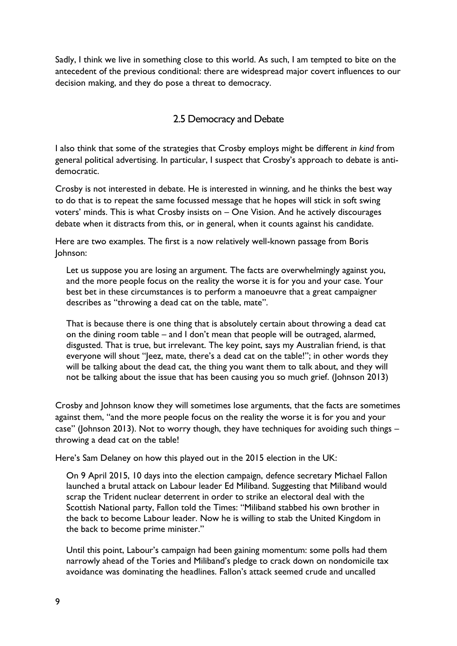Sadly, I think we live in something close to this world. As such, I am tempted to bite on the antecedent of the previous conditional: there are widespread major covert influences to our decision making, and they do pose a threat to democracy.

## 2.5 Democracy and Debate

I also think that some of the strategies that Crosby employs might be different *in kind* from general political advertising. In particular, I suspect that Crosby's approach to debate is antidemocratic.

Crosby is not interested in debate. He is interested in winning, and he thinks the best way to do that is to repeat the same focussed message that he hopes will stick in soft swing voters' minds. This is what Crosby insists on – One Vision. And he actively discourages debate when it distracts from this, or in general, when it counts against his candidate.

Here are two examples. The first is a now relatively well-known passage from Boris Johnson:

Let us suppose you are losing an argument. The facts are overwhelmingly against you, and the more people focus on the reality the worse it is for you and your case. Your best bet in these circumstances is to perform a manoeuvre that a great campaigner describes as "throwing a dead cat on the table, mate".

That is because there is one thing that is absolutely certain about throwing a dead cat on the dining room table – and I don't mean that people will be outraged, alarmed, disgusted. That is true, but irrelevant. The key point, says my Australian friend, is that everyone will shout "Jeez, mate, there's a dead cat on the table!"; in other words they will be talking about the dead cat, the thing you want them to talk about, and they will not be talking about the issue that has been causing you so much grief. (Johnson 2013)

Crosby and Johnson know they will sometimes lose arguments, that the facts are sometimes against them, "and the more people focus on the reality the worse it is for you and your case" (Johnson 2013). Not to worry though, they have techniques for avoiding such things – throwing a dead cat on the table!

Here's Sam Delaney on how this played out in the 2015 election in the UK:

On 9 April 2015, 10 days into the election campaign, defence secretary Michael Fallon launched a brutal attack on Labour leader Ed Miliband. Suggesting that Miliband would scrap the Trident nuclear deterrent in order to strike an electoral deal with the Scottish National party, Fallon told the Times: "Miliband stabbed his own brother in the back to become Labour leader. Now he is willing to stab the United Kingdom in the back to become prime minister."

Until this point, Labour's campaign had been gaining momentum: some polls had them narrowly ahead of the Tories and Miliband's pledge to crack down on nondomicile tax avoidance was dominating the headlines. Fallon's attack seemed crude and uncalled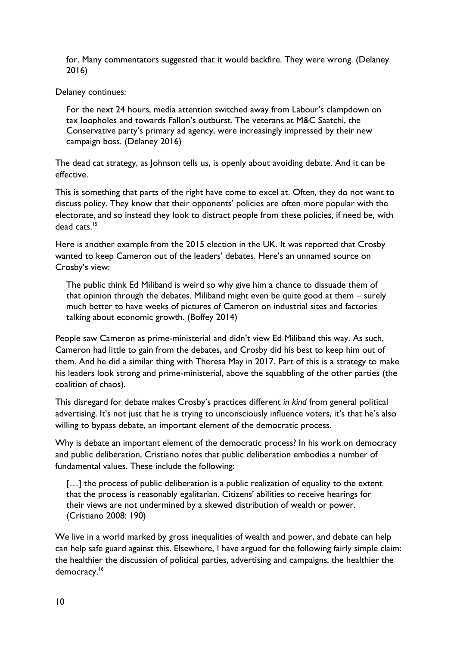for. Many commentators suggested that it would backfire. They were wrong. (Delaney 2016)

Delaney continues:

For the next 24 hours, media attention switched away from Labour's clampdown on tax loopholes and towards Fallon's outburst. The veterans at M&C Saatchi, the Conservative party's primary ad agency, were increasingly impressed by their new campaign boss. (Delaney 2016)

The dead cat strategy, as Johnson tells us, is openly about avoiding debate. And it can be effective.

This is something that parts of the right have come to excel at. Often, they do not want to discuss policy. They know that their opponents' policies are often more popular with the electorate, and so instead they look to distract people from these policies, if need be, with dead cats.<sup>15</sup>

Here is another example from the 2015 election in the UK. It was reported that Crosby wanted to keep Cameron out of the leaders' debates. Here's an unnamed source on Crosby's view:

The public think Ed Miliband is weird so why give him a chance to dissuade them of that opinion through the debates. Miliband might even be quite good at them – surely much better to have weeks of pictures of Cameron on industrial sites and factories talking about economic growth. (Boffey 2014)

People saw Cameron as prime-ministerial and didn't view Ed Miliband this way. As such, Cameron had little to gain from the debates, and Crosby did his best to keep him out of them. And he did a similar thing with Theresa May in 2017. Part of this is a strategy to make his leaders look strong and prime-ministerial, above the squabbling of the other parties (the coalition of chaos).

This disregard for debate makes Crosby's practices different *in kind* from general political advertising. It's not just that he is trying to unconsciously influence voters, it's that he's also willing to bypass debate, an important element of the democratic process.

Why is debate an important element of the democratic process? In his work on democracy and public deliberation, Cristiano notes that public deliberation embodies a number of fundamental values. These include the following:

[...] the process of public deliberation is a public realization of equality to the extent that the process is reasonably egalitarian. Citizens' abilities to receive hearings for their views are not undermined by a skewed distribution of wealth or power. (Cristiano 2008: 190)

We live in a world marked by gross inequalities of wealth and power, and debate can help can help safe guard against this. Elsewhere, I have argued for the following fairly simple claim: the healthier the discussion of political parties, advertising and campaigns, the healthier the democracy.<sup>16</sup>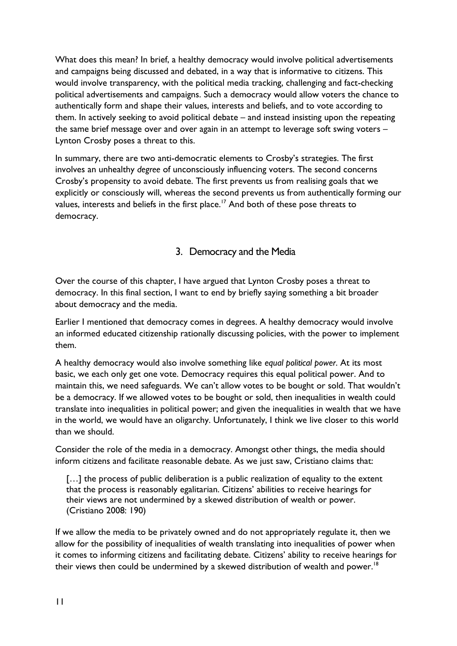What does this mean? In brief, a healthy democracy would involve political advertisements and campaigns being discussed and debated, in a way that is informative to citizens. This would involve transparency, with the political media tracking, challenging and fact-checking political advertisements and campaigns. Such a democracy would allow voters the chance to authentically form and shape their values, interests and beliefs, and to vote according to them. In actively seeking to avoid political debate – and instead insisting upon the repeating the same brief message over and over again in an attempt to leverage soft swing voters – Lynton Crosby poses a threat to this.

In summary, there are two anti-democratic elements to Crosby's strategies. The first involves an unhealthy *degree* of unconsciously influencing voters. The second concerns Crosby's propensity to avoid debate. The first prevents us from realising goals that we explicitly or consciously will, whereas the second prevents us from authentically forming our values, interests and beliefs in the first place.<sup>17</sup> And both of these pose threats to democracy.

## 3. Democracy and the Media

Over the course of this chapter, I have argued that Lynton Crosby poses a threat to democracy. In this final section, I want to end by briefly saying something a bit broader about democracy and the media.

Earlier I mentioned that democracy comes in degrees. A healthy democracy would involve an informed educated citizenship rationally discussing policies, with the power to implement them.

A healthy democracy would also involve something like *equal political power*. At its most basic, we each only get one vote. Democracy requires this equal political power. And to maintain this, we need safeguards. We can't allow votes to be bought or sold. That wouldn't be a democracy. If we allowed votes to be bought or sold, then inequalities in wealth could translate into inequalities in political power; and given the inequalities in wealth that we have in the world, we would have an oligarchy. Unfortunately, I think we live closer to this world than we should.

Consider the role of the media in a democracy. Amongst other things, the media should inform citizens and facilitate reasonable debate. As we just saw, Cristiano claims that:

[...] the process of public deliberation is a public realization of equality to the extent that the process is reasonably egalitarian. Citizens' abilities to receive hearings for their views are not undermined by a skewed distribution of wealth or power. (Cristiano 2008: 190)

If we allow the media to be privately owned and do not appropriately regulate it, then we allow for the possibility of inequalities of wealth translating into inequalities of power when it comes to informing citizens and facilitating debate. Citizens' ability to receive hearings for their views then could be undermined by a skewed distribution of wealth and power.<sup>18</sup>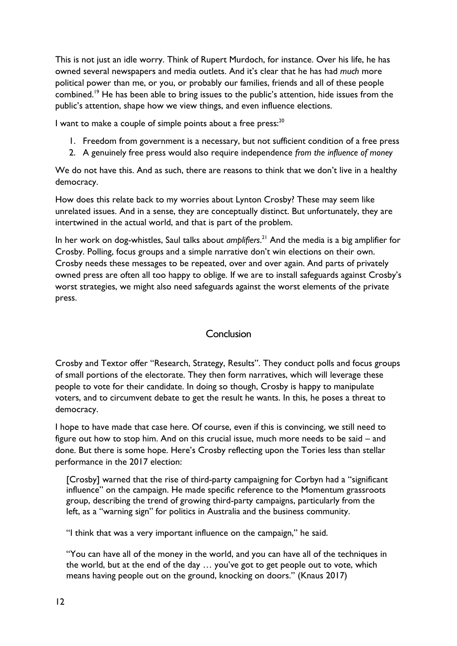This is not just an idle worry. Think of Rupert Murdoch, for instance. Over his life, he has owned several newspapers and media outlets. And it's clear that he has had *much* more political power than me, or you, or probably our families, friends and all of these people combined.<sup>19</sup> He has been able to bring issues to the public's attention, hide issues from the public's attention, shape how we view things, and even influence elections.

I want to make a couple of simple points about a free press: $20$ 

- 1. Freedom from government is a necessary, but not sufficient condition of a free press
- 2. A genuinely free press would also require independence *from the influence of money*

We do not have this. And as such, there are reasons to think that we don't live in a healthy democracy.

How does this relate back to my worries about Lynton Crosby? These may seem like unrelated issues. And in a sense, they are conceptually distinct. But unfortunately, they are intertwined in the actual world, and that is part of the problem.

In her work on dog-whistles, Saul talks about *amplifiers*. <sup>21</sup> And the media is a big amplifier for Crosby. Polling, focus groups and a simple narrative don't win elections on their own. Crosby needs these messages to be repeated, over and over again. And parts of privately owned press are often all too happy to oblige. If we are to install safeguards against Crosby's worst strategies, we might also need safeguards against the worst elements of the private press.

## **Conclusion**

Crosby and Textor offer "Research, Strategy, Results". They conduct polls and focus groups of small portions of the electorate. They then form narratives, which will leverage these people to vote for their candidate. In doing so though, Crosby is happy to manipulate voters, and to circumvent debate to get the result he wants. In this, he poses a threat to democracy.

I hope to have made that case here. Of course, even if this is convincing, we still need to figure out how to stop him. And on this crucial issue, much more needs to be said – and done. But there is some hope. Here's Crosby reflecting upon the Tories less than stellar performance in the 2017 election:

[Crosby] warned that the rise of third-party campaigning for Corbyn had a "significant influence" on the campaign. He made specific reference to the Momentum grassroots group, describing the trend of growing third-party campaigns, particularly from the left, as a "warning sign" for politics in Australia and the business community.

"I think that was a very important influence on the campaign," he said.

"You can have all of the money in the world, and you can have all of the techniques in the world, but at the end of the day … you've got to get people out to vote, which means having people out on the ground, knocking on doors." (Knaus 2017)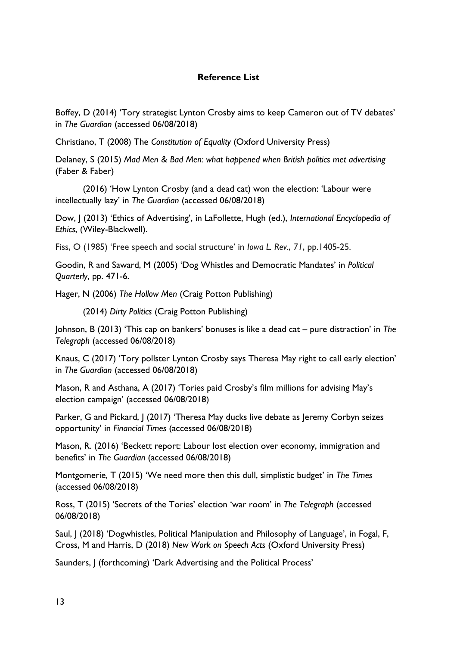#### **Reference List**

Boffey, D (2014) 'Tory strategist Lynton Crosby aims to keep Cameron out of TV debates' in *The Guardian* (accessed 06/08/2018)

Christiano, T (2008) The *Constitution of Equality* (Oxford University Press)

Delaney, S (2015) *Mad Men & Bad Men: what happened when British politics met advertising* (Faber & Faber)

(2016) 'How Lynton Crosby (and a dead cat) won the election: 'Labour were intellectually lazy' in *The Guardian* (accessed 06/08/2018)

Dow, J (2013) 'Ethics of Advertising', in LaFollette, Hugh (ed.), *International Encyclopedia of Ethics*, (Wiley-Blackwell).

Fiss, O (1985) 'Free speech and social structure' in *Iowa L. Rev.*, *71*, pp.1405-25.

Goodin, R and Saward, M (2005) 'Dog Whistles and Democratic Mandates' in *Political Quarterly*, pp. 471-6.

Hager, N (2006) *The Hollow Men* (Craig Potton Publishing)

(2014) *Dirty Politics* (Craig Potton Publishing)

Johnson, B (2013) 'This cap on bankers' bonuses is like a dead cat – pure distraction' in *The Telegraph* (accessed 06/08/2018)

Knaus, C (2017) 'Tory pollster Lynton Crosby says Theresa May right to call early election' in *The Guardian* (accessed 06/08/2018)

Mason, R and Asthana, A (2017) 'Tories paid Crosby's film millions for advising May's election campaign' (accessed 06/08/2018)

Parker, G and Pickard, J (2017) 'Theresa May ducks live debate as Jeremy Corbyn seizes opportunity' in *Financial Times* (accessed 06/08/2018)

Mason, R. (2016) 'Beckett report: Labour lost election over economy, immigration and benefits' in *The Guardian* (accessed 06/08/2018)

Montgomerie, T (2015) 'We need more then this dull, simplistic budget' in *The Times* (accessed 06/08/2018)

Ross, T (2015) 'Secrets of the Tories' election 'war room' in *The Telegraph* (accessed 06/08/2018)

Saul, J (2018) 'Dogwhistles, Political Manipulation and Philosophy of Language', in Fogal, F, Cross, M and Harris, D (2018) *New Work on Speech Acts* (Oxford University Press)

Saunders, J (forthcoming) 'Dark Advertising and the Political Process'